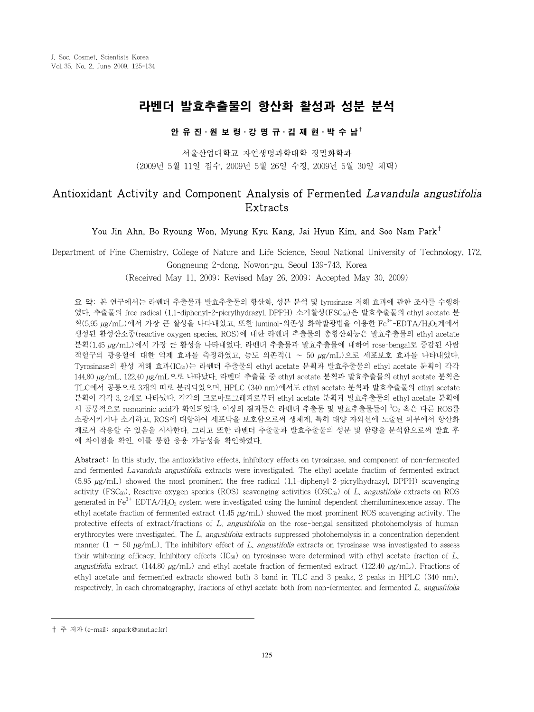# 라벤더 발효추출물의 항산화 활성과 성분 분석

### 안 유 진⋅원 보 령⋅강 명 규⋅김 재 현⋅박 수 남†

서울산업대학교 자연생명과학대학 정밀화학과 (2009년 5월 11일 접수, 2009년 5월 26일 수정, 2009년 5월 30일 채택)

## Antioxidant Activity and Component Analysis of Fermented Lavandula angustifolia Extracts

### You Jin Ahn, Bo Ryoung Won, Myung Kyu Kang, Jai Hyun Kim, and Soo Nam Park†

Department of Fine Chemistry, College of Nature and Life Science, Seoul National University of Technology, 172, Gongneung 2-dong, Nowon-gu, Seoul 139-743, Korea

(Received May 11, 2009; Revised May 26, 2009; Accepted May 30, 2009)

요 약: 본 연구에서는 라벤더 추출물과 발효추출물의 항산화, 성분 분석 및 tyrosinase 저해 효과에 관한 조사를 수행하 였다. 추출물의 free radical (1,1-diphenyl-2-picrylhydrazyl, DPPH) 소거활성(FSC50)은 발효추출물의 ethyl acetate 분 획(5.95 µg/mL)에서 가장 큰 활성을 나타내었고, 또한 luminol-의존성 화학발광법을 이용한 Fe3+-EDTA/H2O2계에서 생성된 활성산소종(reactive oxygen species, ROS)에 대한 라벤더 추출물의 총항산화능은 발효추출물의 ethyl acetate 분획(1.45 µg/mL)에서 가장 큰 활성을 나타내었다. 라벤더 추출물과 발효추출물에 대하여 rose-bengal로 증감된 사람 적혈구의 광용혈에 대한 억제 효과를 측정하였고, 농도 의존적(1 ~ 50 µg/mL)으로 세포보호 효과를 나타내었다. Tyrosinase의 활성 저해 효과(IC50)는 라벤더 추출물의 ethyl acetate 분획과 발효추출물의 ethyl acetate 분획이 각각 144.80 µg/mL, 122.40 µg/mL으로 나타났다. 라벤더 추출물 중 ethyl acetate 분획과 발효추출물의 ethyl acetate 분획은 TLC에서 공통으로 3개의 띠로 분리되었으며, HPLC (340 nm)에서도 ethyl acetate 분획과 발효추출물의 ethyl acetate 분획이 각각 3, 2개로 나타났다. 각각의 크로마토그래피로부터 ethyl acetate 분획과 발효추출물의 ethyl acetate 분획에 서 공통적으로 rosmarinic acid가 확인되었다. 이상의 결과들은 라벤더 추출물 및 발효추출물들이 <sup>1</sup>O2 혹은 다른 ROS를 소광시키거나 소거하고, ROS에 대항하여 세포막을 보호함으로써 생체계, 특히 태양 자외선에 노출된 피부에서 항산화 제로서 작용할 수 있음을 시사한다. 그리고 또한 라벤더 추출물과 발효추출물의 성분 및 함량을 분석함으로써 발효 후 에 차이점을 확인, 이를 통한 응용 가능성을 확인하였다.

Abstract: In this study, the antioxidative effects, inhibitory effects on tyrosinase, and component of non-fermented and fermented Lavandula angustifolia extracts were investigated. The ethyl acetate fraction of fermented extract  $(5.95 \mu g/mL)$  showed the most prominent the free radical  $(1.1$ -diphenyl-2-picrylhydrazyl, DPPH) scavenging activity (FSC $_{50}$ ). Reactive oxygen species (ROS) scavenging activities (OSC $_{50}$ ) of L. angustifolia extracts on ROS generated in  $Fe^{3+}-EDTA/H_2O_2$  system were investigated using the luminol-dependent chemiluminescence assay. The ethyl acetate fraction of fermented extract (1.45 µg/mL) showed the most prominent ROS scavenging activity. The protective effects of extract/fractions of L. angustifolia on the rose-bengal sensitized photohemolysis of human erythrocytes were investigated. The L. angustifolia extracts suppressed photohemolysis in a concentration dependent manner (1 ∼ 50  $\mu$ g/mL). The inhibitory effect of L. angustifolia extracts on tyrosinase was investigated to assess their whitening efficacy. Inhibitory effects  $(IC_{50})$  on tyrosinase were determined with ethyl acetate fraction of L. angustifolia extract (144.80  $\mu$ g/mL) and ethyl acetate fraction of fermented extract (122.40  $\mu$ g/mL). Fractions of ethyl acetate and fermented extracts showed both 3 band in TLC and 3 peaks, 2 peaks in HPLC (340 nm), respectively. In each chromatography, fractions of ethyl acetate both from non-fermented and fermented L. angusfifolia

<sup>†</sup> 주 저자 (e-mail: snpark@snut.ac.kr)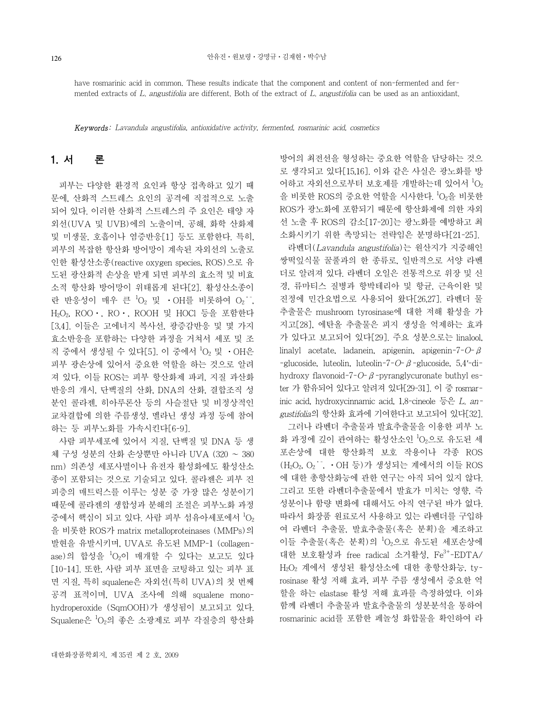have rosmarinic acid in common. These results indicate that the component and content of non-fermented and fermented extracts of L. angustifolia are different. Both of the extract of L. angustifolia can be used as an antioxidant.

Keywords: Lavandula angustifolia, antioxidative activity, fermented, rosmarinic acid, cosmetics

## 1. 서 론

피부는 다양한 환경적 요인과 항상 접촉하고 있기 때 문에, 산화적 스트레스 요인의 공격에 직접적으로 노출 되어 있다. 이러한 산화적 스트레스의 주 요인은 태양 자 외선(UVA 및 UVB)에의 노출이며, 공해, 화학 산화제 및 미생물, 호흡이나 염증반응[1] 등도 포함한다. 특히, 피부의 복잡한 항산화 방어망이 계속된 자외선의 노출로 인한 활성산소종(reactive oxygen species, ROS)으로 유 도된 광산화적 손상을 받게 되면 피부의 효소적 및 비효 소적 항산화 방어망이 위태롭게 된다[2]. 활성산소종이 란 반응성이 매우 큰  ${}^{1}O_{2}$  및 ·OH를 비롯하여 O2 , H2O2, ROO⋅, RO⋅, ROOH 및 HOCl 등을 포함한다 [3,4]. 이들은 고에너지 복사선, 광증감반응 및 몇 가지 효소반응을 포함하는 다양한 과정을 거쳐서 세포 및 조 직 중에서 생성될 수 있다[5]. 이 중에서 <sup>1</sup>O2 및 ・OH은 피부 광손상에 있어서 중요한 역할을 하는 것으로 알려 져 있다. 이들 ROS는 피부 항산화제 파괴, 지질 과산화 반응의 개시, 단백질의 산화, DNA의 산화, 결합조직 성 분인 콜라젠, 히아루론산 등의 사슬절단 및 비정상적인 교차결합에 의한 주름생성, 멜라닌 생성 과정 등에 참여 하는 등 피부노화를 가속시킨다[6-9].

사람 피부세포에 있어서 지질, 단백질 및 DNA 등 생 체 구성 성분의 산화 손상뿐만 아니라 UVA (320 ~ 380 nm) 의존성 세포사멸이나 유전자 활성화에도 활성산소 종이 포함되는 것으로 기술되고 있다. 콜라젠은 피부 진 피층의 매트릭스를 이루는 성분 중 가장 많은 성분이기 때문에 콜라젠의 생합성과 분해의 조절은 피부노화 과정 중에서 핵심이 되고 있다. 사람 피부 섬유아세포에서  $^1\mathrm{O}_2$ 을 비롯한 ROS가 matrix metalloproteinases (MMPs)의 발현을 유발시키며, UVA로 유도된 MMP-1 (collagenase)의 합성을 <sup>1</sup>O<sub>2</sub>이 매개할 수 있다는 보고도 있다 [10-14]. 또한, 사람 피부 표면을 코팅하고 있는 피부 표 면 지질, 특히 squalene은 자외선(특히 UVA)의 첫 번째 공격 표적이며, UVA 조사에 의해 squalene monohydroperoxide (SqmOOH)가 생성됨이 보고되고 있다. Squalene은 <sup>1</sup>O<sub>2</sub>의 좋은 소광제로 피부 각질층의 항산화 방어의 최전선을 형성하는 중요한 역할을 담당하는 것으 로 생각되고 있다[15,16]. 이와 같은 사실은 광노화를 방 어하고 자외선으로부터 보호제를 개발하는데 있어서  $^1\mathrm{O}_2$ 을 비롯한 ROS의 중요한 역할을 시사한다. 1 O2을 비롯한 ROS가 광노화에 포함되기 때문에 항산화제에 의한 자외 선 노출 후 ROS의 감소[17-20]는 광노화를 예방하고 최 소화시키기 위한 촉망되는 전략임은 분명하다[21-25].

라벤더(Lavandula angustifolia)는 원산지가 지중해인 쌍떡잎식물 꿀풀과의 한 종류로, 일반적으로 서양 라벤 더로 알려져 있다. 라벤더 오일은 전통적으로 위장 및 신 경, 류마티스 질병과 항박테리아 및 항균, 근육이완 및 진정에 민간요법으로 사용되어 왔다[26,27]. 라벤더 물 추출물은 mushroom tyrosinase에 대한 저해 활성을 가 지고[28], 에탄올 추출물은 피지 생성을 억제하는 효과 가 있다고 보고되어 있다[29]. 주요 성분으로는 linalool, linalyl acetate, ladanein, apigenin, apigenin-7-O-β -glucoside, luteolin, luteolin-7-O-β-glucoside, 5,4*'*-dihydroxy flavonoid-7-O- $\beta$ -pyranglycuronate buthyl ester 가 함유되어 있다고 알려져 있다[29-31]. 이 중 rosmarinic acid, hydroxycinnamic acid, 1,8-cineole 등은 L. angustifolia의 항산화 효과에 기여한다고 보고되어 있다[32].

그러나 라벤더 추출물과 발효추출물을 이용한 피부 노 화 과정에 깊이 관여하는 활성산소인 'O<sub>2</sub>으로 유도된 세 포손상에 대한 항산화적 보호 작용이나 각종 ROS  $(H_2O_2, O_2, \cdots, \cdot OH5)$ 가 생성되는 계에서의 이들 ROS 에 대한 총항산화능에 관한 연구는 아직 되어 있지 않다. 그리고 또한 라벤더추출물에서 발효가 미치는 영향, 즉 성분이나 함량 변화에 대해서도 아직 연구된 바가 없다. 따라서 화장품 원료로서 사용하고 있는 라벤더를 구입하 여 라벤더 추출물, 발효추출물(혹은 분획)을 제조하고 이들 추출물(혹은 분획)의  ${}^{1}O_{2}$ 으로 유도된 세포손상에 대한 보호활성과 free radical 소거활성, Fe3+-EDTA/ H2O2 계에서 생성된 활성산소에 대한 총항산화능, tyrosinase 활성 저해 효과, 피부 주름 생성에서 중요한 역 할을 하는 elastase 활성 저해 효과를 측정하였다. 이와 함께 라벤더 추출물과 발효추출물의 성분분석을 통하여 rosmarinic acid를 포함한 페놀성 화합물을 확인하여 라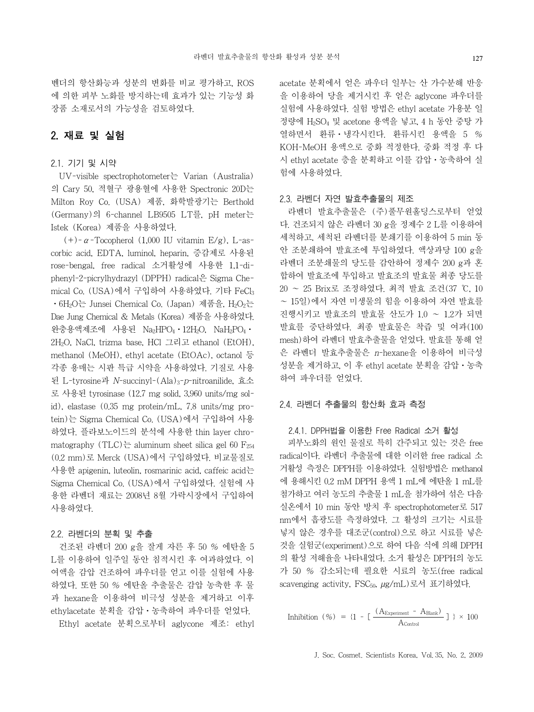## 2. 재료 및 실험

### 2.1. 기기 및 시약

UV-visible spectrophotometer는 Varian (Australia) 의 Cary 50, 적혈구 광용혈에 사용한 Spectronic 20D는 Milton Roy Co. (USA) 제품, 화학발광기는 Berthold (Germany)의 6-channel LB9505 LT를, pH meter는 Istek (Korea) 제품을 사용하였다.

(+)- $\alpha$ -Tocopherol (1,000 IU vitamin E/g), L-ascorbic acid, EDTA, luminol, heparin, 증감제로 사용된 rose-bengal, free radical 소거활성에 사용한 1,1-diphenyl-2-picrylhydrazyl (DPPH) radical은 Sigma Chemical Co. (USA)에서 구입하여 사용하였다. 기타 FeCl3 • 6H<sub>2</sub>O는 Junsei Chemical Co. (Japan) 제품을, H<sub>2</sub>O<sub>2</sub>는 Dae Jung Chemical & Metals (Korea) 제품을 사용하였다. 완충용액제조에 사용된 Na2HPO4 · 12H2O, NaH2PO4 · 2H2O, NaCl, trizma base, HCl 그리고 ethanol (EtOH), methanol (MeOH), ethyl acetate (EtOAc), octanol 등 각종 용매는 시판 특급 시약을 사용하였다. 기질로 사용 된 L-tyrosine과 N-succinyl-(Ala)3-p-nitroanilide, 효소 로 사용된 tyrosinase (12.7 mg solid, 3,960 units/mg solid), elastase (0.35 mg protein/mL, 7.8 units/mg protein)는 Sigma Chemical Co. (USA)에서 구입하여 사용 하였다. 플라보노이드의 분석에 사용한 thin layer chromatography (TLC)는 aluminum sheet silica gel 60 F<sub>254</sub> (0.2 mm)로 Merck (USA)에서 구입하였다. 비교물질로 사용한 apigenin, luteolin, rosmarinic acid, caffeic acid는 Sigma Chemical Co. (USA)에서 구입하였다. 실험에 사 용한 라벤더 재료는 2008년 8월 가락시장에서 구입하여 사용하였다.

### 2.2. 라벤더의 분획 및 추출

건조된 라벤더 200 g을 잘게 자른 후 50 % 에탄올 5 L를 이용하여 일주일 동안 침적시킨 후 여과하였다. 이 여액을 감압 건조하여 파우더를 얻고 이를 실험에 사용 하였다. 또한 50 % 에탄올 추출물은 감압 농축한 후 물 과 hexane을 이용하여 비극성 성분을 제거하고 이후 ethylacetate 분획을 감압⋅농축하여 파우더를 얻었다.

Ethyl acetate 분획으로부터 aglycone 제조: ethyl

acetate 분획에서 얻은 파우더 일부는 산 가수분해 반응 을 이용하여 당을 제거시킨 후 얻은 aglycone 파우더를 실험에 사용하였다. 실험 방법은 ethyl acetate 가용분 일 정량에 H2SO4 및 acetone 용액을 넣고, 4 h 동안 중탕 가 열하면서 환류⋅냉각시킨다. 환류시킨 용액을 5 % KOH-MeOH 용액으로 중화 적정한다. 중화 적정 후 다 시 ethyl acetate 층을 분획하고 이를 감압⋅농축하여 실 험에 사용하였다.

#### 2.3. 라벤더 자연 발효추출물의 제조

라벤더 발효추출물은 (주)풀무원홀딩스로부터 얻었 다. 건조되지 않은 라벤더 30 g을 정제수 2 L를 이용하여 세척하고, 세척된 라벤더를 분쇄기를 이용하여 5 min 동 안 조분쇄하여 발효조에 투입하였다. 액상과당 100 g을 라벤더 조분쇄물의 당도를 감안하여 정제수 200 g과 혼 합하여 발효조에 투입하고 발효조의 발효물 최종 당도를 20 ~ 25 Brix로 조정하였다. 최적 발효 조건(37 ℃, 10 ~ 15일)에서 자연 미생물의 힘을 이용하여 자연 발효를 진행시키고 발효조의 발효물 산도가 1.0 ~ 1.2가 되면 발효를 중단하였다. 최종 발효물은 착즙 및 여과(100 mesh)하여 라벤더 발효추출물을 얻었다. 발효를 통해 얻 은 라벤더 발효추출물은 n-hexane을 이용하여 비극성 성분을 제거하고, 이 후 ethyl acetate 분획을 감압⋅농축 하여 파우더를 얻었다.

### 2.4. 라벤더 추출물의 항산화 효과 측정

#### 2.4.1. DPPH법을 이용한 Free Radical 소거 활성

피부노화의 원인 물질로 특히 간주되고 있는 것은 free radical이다. 라벤더 추출물에 대한 이러한 free radical 소 거활성 측정은 DPPH를 이용하였다. 실험방법은 methanol 에 용해시킨 0.2 mM DPPH 용액 1 mL에 에탄올 1 mL를 첨가하고 여러 농도의 추출물 1 mL을 첨가하여 섞은 다음 실온에서 10 min 동안 방치 후 spectrophotometer로 517 nm에서 흡광도를 측정하였다. 그 활성의 크기는 시료를 넣지 않은 경우를 대조군(control)으로 하고 시료를 넣은 것을 실험군(experiment)으로 하여 다음 식에 의해 DPPH 의 활성 저해율을 나타내었다. 소거 활성은 DPPH의 농도 가 50 % 감소되는데 필요한 시료의 농도(free radical scavenging activity, FSC<sub>50,  $\mu$ g/mL)로서 표기하였다.</sub>

Inhibition (%) = {1 - [ 
$$
\frac{(A_{\text{Experiment}} - A_{\text{Blank}})}{A_{\text{Control}}}
$$
 ] } × 100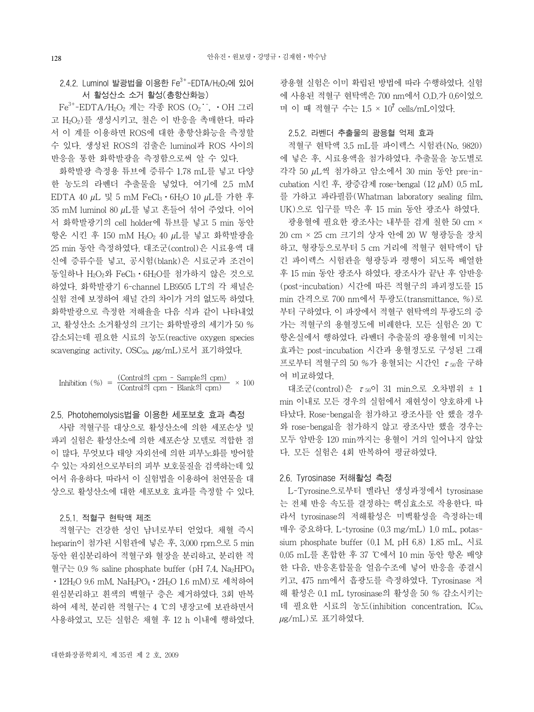### 2.4.2. Luminol 발광법을 이용한 Fe3+-EDTA/H2O2에 있어 서 활성산소 소거 활성(총항산화능)

Fe $^{3+}$ -EDTA/H2O2 계는 각종 ROS (O2˙˙, •OH 그리 고 H2O2)를 생성시키고, 철은 이 반응을 촉매한다. 따라 서 이 계를 이용하면 ROS에 대한 총항산화능을 측정할 수 있다. 생성된 ROS의 검출은 luminol과 ROS 사이의 반응을 통한 화학발광을 측정함으로써 알 수 있다.

화학발광 측정용 튜브에 증류수 1.78 mL를 넣고 다양 한 농도의 라벤더 추출물을 넣었다. 여기에 2.5 mM EDTA 40 µL 및 5 mM FeCl3⋅6H2O 10 µL를 가한 후 35 mM luminol 80 µL를 넣고 흔들어 섞어 주었다. 이어 서 화학발광기의 cell holder에 튜브를 넣고 5 min 동안 항온 시킨 후 150 mM H2O2 40 µL를 넣고 화학발광을 25 min 동안 측정하였다. 대조군(control)은 시료용액 대 신에 증류수를 넣고, 공시험(blank)은 시료군과 조건이 동일하나 H2O2와 FeCl3⋅6H2O를 첨가하지 않은 것으로 하였다. 화학발광기 6-channel LB9505 LT의 각 채널은 실험 전에 보정하여 채널 간의 차이가 거의 없도록 하였다. 화학발광으로 측정한 저해율을 다음 식과 같이 나타내었 고, 활성산소 소거활성의 크기는 화학발광의 세기가 50 % 감소되는데 필요한 시료의 농도(reactive oxygen species scavenging activity, OSC50, µg/mL)로서 표기하였다.

Inhibition (%) = 
$$
\frac{(\text{Control}\,\mathfrak{Q}\,\text{cpm - Sample}\,\mathfrak{Q}\,\text{cpm})}{(\text{Control}\,\mathfrak{Q}\,\text{cpm - Blank}\,\mathfrak{Q}\,\text{cpm})} \times 100
$$

2.5. Photohemolysis법을 이용한 세포보호 효과 측정

사람 적혈구를 대상으로 활성산소에 의한 세포손상 및 파괴 실험은 활성산소에 의한 세포손상 모델로 적합한 점 이 많다. 무엇보다 태양 자외선에 의한 피부노화를 방어할 수 있는 자외선으로부터의 피부 보호물질을 검색하는데 있 어서 유용하다. 따라서 이 실험법을 이용하여 천연물을 대 상으로 활성산소에 대한 세포보호 효과를 측정할 수 있다.

#### 2.5.1. 적혈구 현탁액 제조

적혈구는 건강한 성인 남녀로부터 얻었다. 채혈 즉시 heparin이 첨가된 시험관에 넣은 후, 3,000 rpm으로 5 min 동안 원심분리하여 적혈구와 혈장을 분리하고, 분리한 적 혈구는 0.9 % saline phosphate buffer (pH 7.4, Na<sup>2</sup>HPO<sub>4</sub> ⋅12H2O 9.6 mM, NaH2PO4⋅2H2O 1.6 mM)로 세척하여 원심분리하고 흰색의 백혈구 층은 제거하였다. 3회 반복 하여 세척, 분리한 적혈구는 4 ℃의 냉장고에 보관하면서 사용하였고, 모든 실험은 채혈 후 12 h 이내에 행하였다. 광용혈 실험은 이미 확립된 방법에 따라 수행하였다. 실험 에 사용된 적혈구 현탁액은 700 nm에서 O.D.가 0.6이었으 며 이 때 적혈구 수는 1.5 × 10<sup>7</sup> cells/mL이었다.

#### 2.5.2. 라벤더 추출물의 광용혈 억제 효과

적혈구 현탁액 3.5 mL를 파이렉스 시험관(No. 9820) 에 넣은 후, 시료용액을 첨가하였다. 추출물을 농도별로 각각 50 µL씩 첨가하고 암소에서 30 min 동안 pre-incubation 시킨 후, 광증감제 rose-bengal (12 µM) 0.5 mL 를 가하고 파라필름(Whatman laboratory sealing film, UK)으로 입구를 막은 후 15 min 동안 광조사 하였다.

광용혈에 필요한 광조사는 내부를 검게 칠한 50 cm × 20 cm × 25 cm 크기의 상자 안에 20 W 형광등을 장치 하고, 형광등으로부터 5 cm 거리에 적혈구 현탁액이 담 긴 파이렉스 시험관을 형광등과 평행이 되도록 배열한 후 15 min 동안 광조사 하였다. 광조사가 끝난 후 암반응 (post-incubation) 시간에 따른 적혈구의 파괴정도를 15 min 간격으로 700 nm에서 투광도(transmittance, %)로 부터 구하였다. 이 파장에서 적혈구 현탁액의 투광도의 증 가는 적혈구의 용혈정도에 비례한다. 모든 실험은 20 ℃ 항온실에서 행하였다. 라벤더 추출물의 광용혈에 미치는 효과는 post-incubation 시간과 용혈정도로 구성된 그래 프로부터 적혈구의 50 %가 용혈되는 시간인  $\tau$ <sub>50</sub>을 구하 여 비교하였다.

대조군(control)은  $\tau_{50}$ 이 31 min으로 오차범위 ± 1 min 이내로 모든 경우의 실험에서 재현성이 양호하게 나 타났다. Rose-bengal을 첨가하고 광조사를 안 했을 경우 와 rose-bengal을 첨가하지 않고 광조사만 했을 경우는 모두 암반응 120 min까지는 용혈이 거의 일어나지 않았 다. 모든 실험은 4회 반복하여 평균하였다.

#### 2.6. Tyrosinase 저해활성 측정

L-Tyrosine으로부터 멜라닌 생성과정에서 tyrosinase 는 전체 반응 속도를 결정하는 핵심효소로 작용한다. 따 라서 tyrosinase의 저해활성은 미백활성을 측정하는데 매우 중요하다. L-tyrosine (0.3 mg/mL) 1.0 mL, potassium phosphate buffer (0.1 M, pH 6.8) 1.85 mL, 시료 0.05 mL를 혼합한 후 37 ℃에서 10 min 동안 항온 배양 한 다음, 반응혼합물을 얼음수조에 넣어 반응을 종결시 키고, 475 nm에서 흡광도를 측정하였다. Tyrosinase 저 해 활성은 0.1 mL tyrosinase의 활성을 50 % 감소시키는 데 필요한 시료의 농도(inhibition concentration, IC50, µg/mL)로 표기하였다.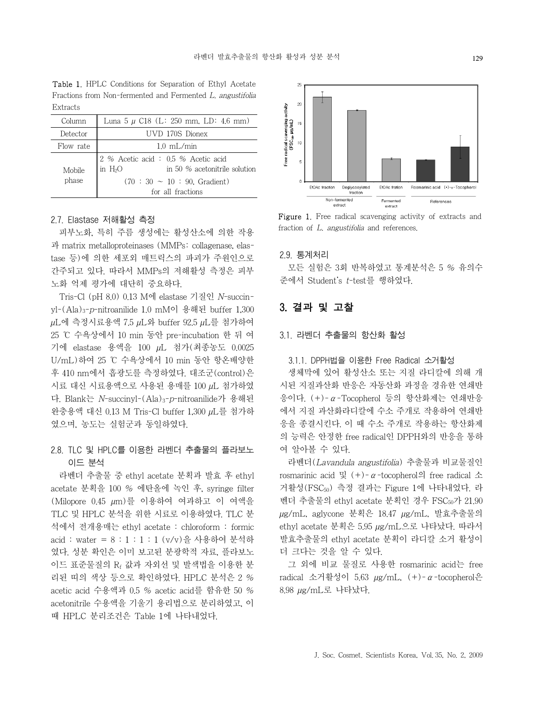Fractions from Non-fermented and Fermented L. angustifolia Extracts Column Luna 5  $\mu$  C18 (L: 250 mm, LD: 4.6 mm) Detector || UVD 170S Dionex

| Detector        | UVD 170S Dionex                                                                     |
|-----------------|-------------------------------------------------------------------------------------|
| Flow rate       | $1.0 \text{ mL/min}$                                                                |
| Mobile<br>phase | 2 % Acetic acid: $0.5$ % Acetic acid<br>$\ln H_2O$<br>in 50 % acetonitrile solution |
|                 | $(70:30 \sim 10:90$ . Gradient)                                                     |
|                 | for all fractions                                                                   |

Table 1. HPLC Conditions for Separation of Ethyl Acetate

#### 2.7. Elastase 저해활성 측정

피부노화, 특히 주름 생성에는 활성산소에 의한 작용 과 matrix metalloproteinases (MMPs: collagenase, elastase 등)에 의한 세포외 매트릭스의 파괴가 주원인으로 간주되고 있다. 따라서 MMPs의 저해활성 측정은 피부 노화 억제 평가에 대단히 중요하다.

Tris-Cl (pH 8.0) 0.13 M에 elastase 기질인 N-succinyl-(Ala)3-p-nitroanilide 1.0 mM이 용해된 buffer 1,300 µL에 측정시료용액 7.5 µL와 buffer 92.5 µL를 첨가하여 25 ℃ 수욕상에서 10 min 동안 pre-incubation 한 뒤 여 기에 elastase 용액을 100 µL 첨가(최종농도 0.0025 U/mL)하여 25 ℃ 수욕상에서 10 min 동안 항온배양한 후 410 nm에서 흡광도를 측정하였다. 대조군(control)은 시료 대신 시료용액으로 사용된 용매를 100 µL 첨가하였 다. Blank는 N-succinyl-(Ala)3-p-nitroanilide가 용해된 완충용액 대신 0.13 M Tris-Cl buffer 1,300 µL를 첨가하 였으며, 농도는 실험군과 동일하였다.

## 2.8. TLC 및 HPLC를 이용한 라벤더 추출물의 플라보노 이드 분석

라벤더 추출물 중 ethyl acetate 분획과 발효 후 ethyl acetate 분획을 100 % 에탄올에 녹인 후, syringe filter (Milopore 0.45 µm)를 이용하여 여과하고 이 여액을 TLC 및 HPLC 분석을 위한 시료로 이용하였다. TLC 분 석에서 전개용매는 ethyl acetate : chloroform : formic  $\text{acid}: \text{water} = 8 : 1 : 1 : 1 (\text{v/v}) \frac{9}{5}$  사용하여 분석하 였다. 성분 확인은 이미 보고된 분광학적 자료, 플라보노 이드 표준물질의 Rf 값과 자외선 및 발색법을 이용한 분 리된 띠의 색상 등으로 확인하였다. HPLC 분석은 2 % acetic acid 수용액과 0.5 % acetic acid를 함유한 50 % acetonitrile 수용액을 기울기 용리법으로 분리하였고, 이 때 HPLC 분리조건은 Table 1에 나타내었다.



Figure 1. Free radical scavenging activity of extracts and fraction of L. angustifolia and references.

#### 2.9. 통계처리

모든 실험은 3회 반복하였고 통계분석은 5 % 유의수 준에서 Student's t-test를 행하였다.

## 3. 결과 및 고찰

#### 3.1. 라벤더 추출물의 항산화 활성

#### 3.1.1. DPPH법을 이용한 Free Radical 소거활성

생체막에 있어 활성산소 또는 지질 라디칼에 의해 개 시된 지질과산화 반응은 자동산화 과정을 경유한 연쇄반 응이다. (+)-α-Tocopherol 등의 항산화제는 연쇄반응 에서 지질 과산화라디칼에 수소 주개로 작용하여 연쇄반 응을 종결시킨다. 이 때 수소 주개로 작용하는 항산화제 의 능력은 안정한 free radical인 DPPH와의 반응을 통하 여 알아볼 수 있다.

라벤더(Lavandula angustifolia) 추출물과 비교물질인 rosmarinic acid 및  $(+)$ - $\alpha$ -tocopherol의 free radical 소 거활성(FSC50) 측정 결과는 Figure 1에 나타내었다. 라 벤더 추출물의 ethyl acetate 분획인 경우 FSC50가 21.90 µg/mL, aglycone 분획은 18.47 µg/mL, 발효추출물의 ethyl acetate 분획은 5.95 µg/mL으로 나타났다. 따라서 발효추출물의 ethyl acetate 분획이 라디칼 소거 활성이 더 크다는 것을 알 수 있다.

그 외에 비교 물질로 사용한 rosmarinic acid는 free radical 소거활성이 5.63 µg/mL, (+)-α-tocopherol은 8.98 µg/mL로 나타났다.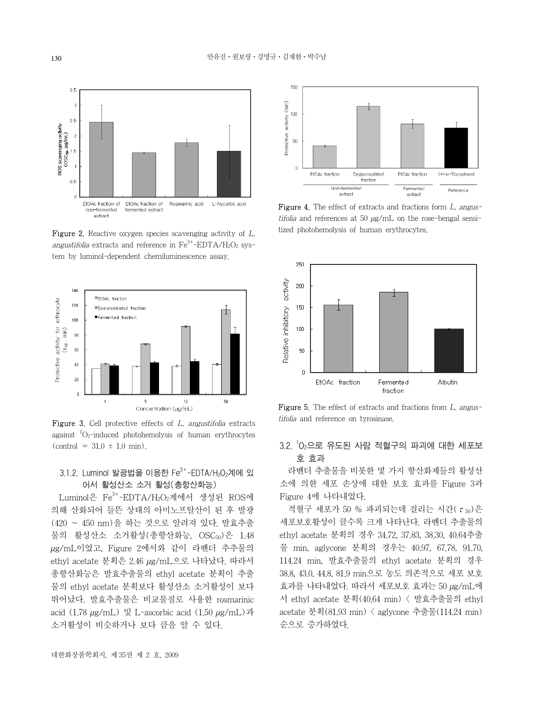

Figure 2. Reactive oxygen species scavenging activity of L. angustifolia extracts and reference in  $Fe^{3+}-EDTA/H_2O_2$  system by luminol-dependent chemiluminescence assay.



**Figure 3.** Cell protective effects of  $L$ , angustifolia extracts against  ${}^{1}{\rm O}_{2}$ -induced photohemolysis of human erythrocytes  $(control = 31.0 \pm 1.0 \text{ min}).$ 

### $3.1.2$ . Luminol 발광법을 이용한 Fe<sup>3+</sup>-EDTA/H<sub>2</sub>O<sub>2</sub>계에 있 어서 활성산소 소거 활성(총항산화능)

Luminol은 Fe3+-EDTA/H<sub>2</sub>O<sub>2</sub>계에서 생성된 ROS에 의해 산화되어 들뜬 상태의 아미노프탈산이 된 후 발광 (420 ~ 450 nm)을 하는 것으로 알려져 있다. 발효추출 물의 활성산소 소거활성(총항산화능, OSC50)은 1.48 µg/mL이었고, Figure 2에서와 같이 라벤더 추추물의 ethyl acetate 분획은 2.46 µg/mL으로 나타났다. 따라서 총항산화능은 발효추출물의 ethyl acetate 분획이 추출 물의 ethyl acetate 분획보다 활성산소 소거활성이 보다 뛰어났다. 발효추출물은 비교물질로 사용한 rosmarinic acid (1.78 µg/mL) 및 L-ascorbic acid (1.50 µg/mL)과 소거활성이 비슷하거나 보다 큼을 알 수 있다.



Figure 4. The effect of extracts and fractions form L. angustifolia and references at 50  $\mu$ g/mL on the rose-bengal sensitized photohemolysis of human erythrocytes.



Figure 5. The effect of extracts and fractions from L. angustifolia and reference on tyrosinase.

## $3.2$ .  $^1$ O $_2$ 으로 유도된 사람 적혈구의 파괴에 대한 세포보 호 효과

라벤더 추출물을 비롯한 몇 가지 항산화제들의 활성산 소에 의한 세포 손상에 대한 보호 효과를 Figure 3과 Figure 4에 나타내었다.

적혈구 세포가 50 % 파괴되는데 걸리는 시간( $\tau_{50}$ )은 세포보호활성이 클수록 크게 나타난다. 라벤더 추출물의 ethyl acetate 분획의 경우 34.72, 37.83, 38.30, 40.64추출 물 min, aglycone 분획의 경우는 40.97, 67.78, 91.70, 114.24 min, 발효추출물의 ethyl acetate 분획의 경우 38.8, 43.0, 44.8, 81.9 min으로 농도 의존적으로 세포 보호 효과를 나타내었다. 따라서 세포보호 효과는 50 µg/mL에 서 ethyl acetate 분획(40.64 min) < 발효추출물의 ethyl acetate 분획(81.93 min) < aglycone 추출물(114.24 min) 순으로 증가하였다.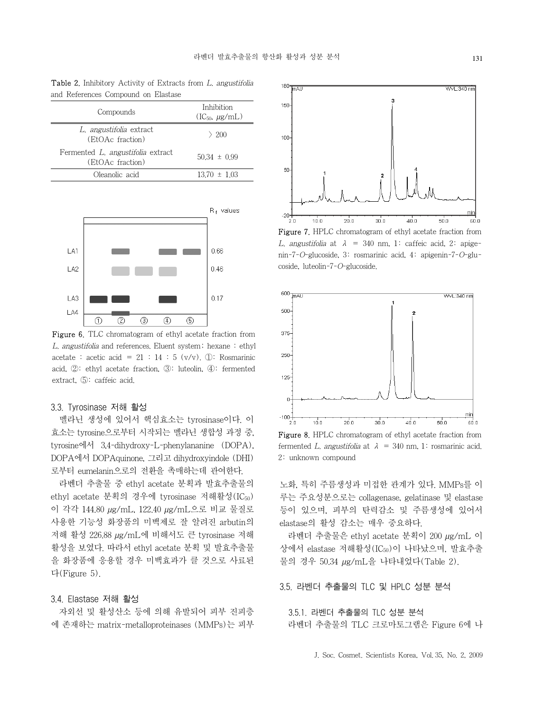Table 2. Inhibitory Activity of Extracts from L. angustifolia and References Compound on Elastase

| Compounds                                             | Inhibition<br>$(IC50, \mu g/mL)$ |
|-------------------------------------------------------|----------------------------------|
| L. angustifolia extract<br>(EtOAc fraction)           | $\geq 200$                       |
| Fermented L. angustifolia extract<br>(EtOAc fraction) | $50.34 \pm 0.99$                 |
| Oleanolic acid                                        | $13.70 \pm 1.03$                 |



Figure 6. TLC chromatogram of ethyl acetate fraction from L. angustifolia and references. Eluent system; hexane : ethyl acetate : acetic acid =  $21 : 14 : 5 \text{ (v/v)}. \text{ (i)}$ : Rosmarinic acid, ②: ethyl acetate fraction, ③: luteolin, ④: fermented extract, ⑤: caffeic acid.

#### 3.3. Tyrosinase 저해 활성

멜라닌 생성에 있어서 핵심효소는 tyrosinase이다. 이 효소는 tyrosine으로부터 시작되는 멜라닌 생합성 과정 중, tyrosine에서 3,4-dihydroxy-L-phenylananine (DOPA), DOPA에서 DOPAquinone, 그리고 dihydroxyindole (DHI) 로부터 eumelanin으로의 전환을 촉매하는데 관여한다.

라벤더 추출물 중 ethyl acetate 분획과 발효추출물의 ethyl acetate 분획의 경우에 tyrosinase 저해활성(IC<sub>50</sub>) 이 각각 144.80 µg/mL, 122.40 µg/mL으로 비교 물질로 사용한 기능성 화장품의 미백제로 잘 알려진 arbutin의 저해 활성 226.88 µg/mL에 비해서도 큰 tyrosinase 저해 활성을 보였다. 따라서 ethyl acetate 분획 및 발효추출물 을 화장품에 응용할 경우 미백효과가 클 것으로 사료된 다(Figure 5).

#### 3.4. Elastase 저해 활성

자외선 및 활성산소 등에 의해 유발되어 피부 진피층 에 존재하는 matrix-metalloproteinases (MMPs)는 피부



Figure 7. HPLC chromatogram of ethyl acetate fraction from L. angustifolia at  $\lambda$  = 340 nm, 1: caffeic acid, 2: apigenin-7-O-glucoside, 3: rosmarinic acid, 4: apigenin-7-O-glucoside, luteolin-7-O-glucoside.



Figure 8. HPLC chromatogram of ethyl acetate fraction from fermented L. angustifolia at  $\lambda = 340$  nm, 1: rosmarinic acid. 2: unknown compound

노화, 특히 주름생성과 미접한 관계가 있다. MMPs를 이 루는 주요성분으로는 collagenase, gelatinase 및 elastase 등이 있으며, 피부의 탄력감소 및 주름생성에 있어서 elastase의 활성 감소는 매우 중요하다.

라벤더 추출물은 ethyl acetate 분획이 200 µg/mL 이 상에서 elastase 저해활성(IC50)이 나타났으며, 발효추출 물의 경우 50.34 µg/mL을 나타내었다(Table 2).

### 3.5. 라벤더 추출물의 TLC 및 HPLC 성분 분석

3.5.1. 라벤더 추출물의 TLC 성분 분석 라벤더 추출물의 TLC 크로마토그램은 Figure 6에 나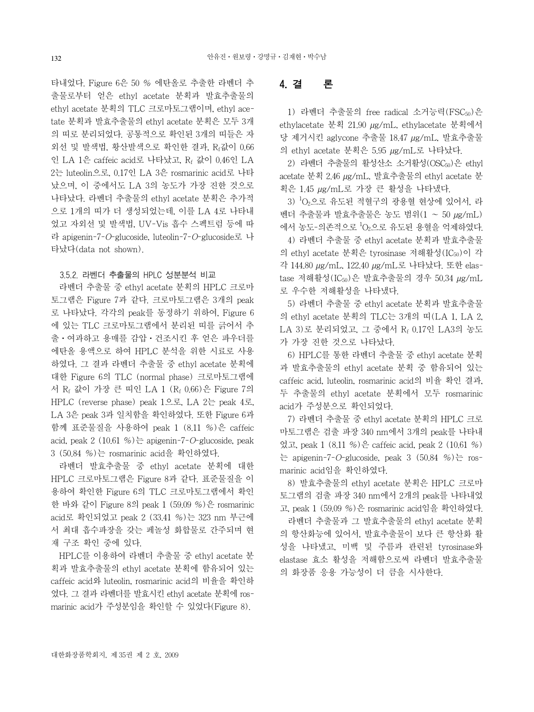타내었다. Figure 6은 50 % 에탄올로 추출한 라벤더 추 출물로부터 얻은 ethyl acetate 분획과 발효추출물의 ethyl acetate 분획의 TLC 크로마토그램이며, ethyl acetate 분획과 발효추출물의 ethyl acetate 분획은 모두 3개 의 띠로 분리되었다. 공통적으로 확인된 3개의 띠들은 자 외선 및 발색법, 황산발색으로 확인한 결과, Rf값이 0.66 인 LA 1은 caffeic acid로 나타났고, Rf 값이 0.46인 LA 2는 luteolin으로, 0.17인 LA 3은 rosmarinic acid로 나타 났으며, 이 중에서도 LA 3의 농도가 가장 진한 것으로 나타났다. 라벤더 추출물의 ethyl acetate 분획은 추가적 으로 1개의 띠가 더 생성되었는데, 이를 LA 4로 나타내 었고 자외선 및 발색법, UV-Vis 흡수 스펙트럼 등에 따 라 apigenin-7-O-glucoside, luteolin-7-O-glucoside로 나 타났다(data not shown).

#### 3.5.2. 라벤더 추출물의 HPLC 성분분석 비교

라벤더 추출물 중 ethyl acetate 분획의 HPLC 크로마 토그램은 Figure 7과 같다. 크로마토그램은 3개의 peak 로 나타났다. 각각의 peak를 동정하기 위하여, Figure 6 에 있는 TLC 크로마토그램에서 분리된 띠를 긁어서 추 출⋅여과하고 용매를 감압⋅건조시킨 후 얻은 파우더를 에탄올 용액으로 하여 HPLC 분석을 위한 시료로 사용 하였다. 그 결과 라벤더 추출물 중 ethyl acetate 분획에 대한 Figure 6의 TLC (normal phase) 크로마토그램에 서 Rf 값이 가장 큰 띠인 LA 1 (Rf 0.66)은 Figure 7의 HPLC (reverse phase) peak 1으로, LA 2는 peak 4로, LA 3은 peak 3과 일치함을 확인하였다. 또한 Figure 6과 함께 표준물질을 사용하여 peak 1 (8.11 %)은 caffeic acid, peak  $2(10.61\%)$ 는 apigenin-7-O-glucoside, peak 3 (50.84 %)는 rosmarinic acid을 확인하였다.

라벤더 발효추출물 중 ethyl acetate 분획에 대한 HPLC 크로마토그램은 Figure 8과 같다. 표준물질을 이 용하여 확인한 Figure 6의 TLC 크로마토그램에서 확인 한 바와 같이 Figure 8의 peak 1 (59.09 %)은 rosmarinic acid로 확인되었고 peak 2 (33.41 %)는 323 nm 부근에 서 최대 흡수파장을 갖는 페놀성 화합물로 간주되며 현 재 구조 확인 중에 있다.

HPLC를 이용하여 라벤더 추출물 중 ethyl acetate 분 획과 발효추출물의 ethyl acetate 분획에 함유되어 있는 caffeic acid와 luteolin, rosmarinic acid의 비율을 확인하 였다. 그 결과 라벤더를 발효시킨 ethyl acetate 분획에 rosmarinic acid가 주성분임을 확인할 수 있었다(Figure 8).

## 4. 결 론

1) 라벤더 추출물의 free radical 소거능력(FSC50)은 ethylacetate 분획 21.90 µg/mL, ethylacetate 분획에서 당 제거시킨 aglycone 추출물 18.47 µg/mL, 발효추출물 의 ethyl acetate 분획은 5.95 µg/mL로 나타났다.

2) 라벤더 추출물의 활성산소 소거활성(OSC50)은 ethyl acetate 분획 2.46 µg/mL, 발효추출물의 ethyl acetate 분 획은 1.45 µg/mL로 가장 큰 활성을 나타냈다.

3)  $^1$ O<sub>2</sub>으로 유도된 적혈구의 광용혈 현상에 있어서, 라 벤더 추출물과 발효추출물은 농도 범위(1 ~ 50 µg/mL) 에서 농도-의존적으로 <sup>1</sup> O2으로 유도된 용혈을 억제하였다.

4) 라벤더 추출물 중 ethyl acetate 분획과 발효추출물 의 ethyl acetate 분획은 tyrosinase 저해활성(IC<sub>50</sub>)이 각 각 144.80 µg/mL, 122.40 µg/mL로 나타났다. 또한 elastase 저해활성(IC<sub>50</sub>)은 발효추출물의 경우 50.34 µg/mL 로 우수한 저해활성을 나타냈다.

5) 라벤더 추출물 중 ethyl acetate 분획과 발효추출물 의 ethyl acetate 분획의 TLC는 3개의 띠(LA 1, LA 2, LA 3)로 분리되었고, 그 중에서 Rf 0.17인 LA3의 농도 가 가장 진한 것으로 나타났다.

6) HPLC를 통한 라벤더 추출물 중 ethyl acetate 분획 과 발효추출물의 ethyl acetate 분획 중 함유되어 있는 caffeic acid, luteolin, rosmarinic acid의 비율 확인 결과, 두 추출물의 ethyl acetate 분획에서 모두 rosmarinic acid가 주성분으로 확인되었다.

7) 라벤더 추출물 중 ethyl acetate 분획의 HPLC 크로 마토그램은 검출 파장 340 nm에서 3개의 peak를 나타내 었고, peak 1 (8.11 %)은 caffeic acid, peak 2 (10.61 %) 는 apigenin-7-O-glucoside, peak 3  $(50.84 \%)$ 는 rosmarinic acid임을 확인하였다.

8) 발효추출물의 ethyl acetate 분획은 HPLC 크로마 토그램의 검출 파장 340 nm에서 2개의 peak를 나타내었 고, peak 1 (59.09 %)은 rosmarinic acid임을 확인하였다.

라벤더 추출물과 그 발효추출물의 ethyl acetate 분획 의 항산화능에 있어서, 발효추출물이 보다 큰 항산화 활 성을 나타냈고, 미백 및 주름과 관련된 tyrosinase와 elastase 효소 활성을 저해함으로써 라벤더 발효추출물 의 화장품 응용 가능성이 더 큼을 시사한다.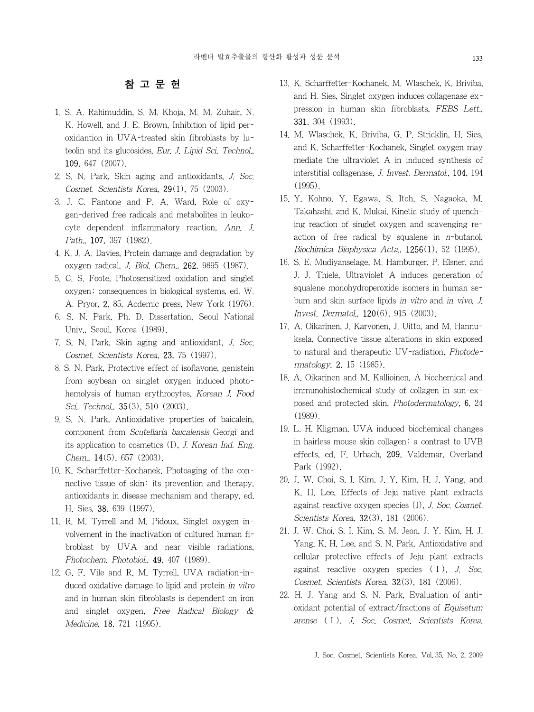## 참 고 문 헌

- 1. S. A. Rahimuddin, S. M. Khoja, M. M. Zuhair, N. K. Howell, and J. E. Brown, Inhibition of lipid peroxidantion in UVA-treated skin fibroblasts by luteolin and its glucosides, Eur. J. Lipid Sci. Technol., 109, 647 (2007).
- 2. S. N. Park, Skin aging and antioxidants, J. Soc. Cosmet. Scientists Korea, 29(1), 75 (2003).
- 3. J. C. Fantone and P. A. Ward, Role of oxygen-derived free radicals and metabolites in leukocyte dependent inflammatory reaction, Ann. J. Path., 107, 397 (1982).
- 4. K. J. A. Davies, Protein damage and degradation by oxygen radical, J. Biol. Chem., 262, 9895 (1987).
- 5. C. S. Foote, Photosensitized oxidation and singlet oxygen; consequences in biological systems, ed. W. A. Pryor, 2, 85, Acdemic press, New York (1976).
- 6. S. N. Park, Ph. D. Dissertation, Seoul National Univ., Seoul, Korea (1989).
- 7. S. N. Park, Skin aging and antioxidant, J. Soc. Cosmet. Scientists Korea, 23, 75 (1997).
- 8. S. N. Park, Protective effect of isoflavone, genistein from soybean on singlet oxygen induced photohemolysis of human erythrocytes, Korean J. Food Sci. Technol., **35**(3), 510 (2003).
- 9. S. N. Park, Antioxidative properties of baicalein, component from Scutellaria baicalensis Georgi and its application to cosmetics (I), J. Korean Ind. Eng. Chem.,  $14(5)$ , 657 (2003).
- 10. K. Scharffetter-Kochanek, Photoaging of the connective tissue of skin: its prevention and therapy, antioxidants in disease mechanism and therapy, ed. H. Sies, 38, 639 (1997).
- 11. R. M. Tyrrell and M. Pidoux, Singlet oxygen involvement in the inactivation of cultured human fibroblast by UVA and near visible radiations, Photochem. Photobiol., 49, 407 (1989).
- 12. G. F. Vile and R. M. Tyrrell, UVA radiation-induced oxidative damage to lipid and protein in vitro and in human skin fibroblasts is dependent on iron and singlet oxygen, Free Radical Biology & Medicine, 18, 721 (1995).
- 13. K. Scharffetter-Kochanek, M. Wlaschek, K. Briviba, and H. Sies, Singlet oxygen induces collagenase expression in human skin fibroblasts, FEBS Lett., 331, 304 (1993).
- 14. M. Wlaschek, K. Briviba, G. P. Stricklin, H. Sies, and K. Scharffetter-Kochanek, Singlet oxygen may mediate the ultraviolet A in induced synthesis of interstitial collagenase, J. Invest. Dermatol., 104, 194  $(1995)$
- 15. Y. Kohno, Y. Egawa, S. Itoh, S. Nagaoka, M. Takahashi, and K. Mukai, Kinetic study of quenching reaction of singlet oxygen and scavenging reaction of free radical by squalene in  $n$ -butanol, Biochimica Biophysica Acta., 1256(1), 52 (1995).
- 16. S. E. Mudiyanselage, M. Hamburger, P. Elsner, and J. J. Thiele, Ultraviolet A induces generation of squalene monohydroperoxide isomers in human sebum and skin surface lipids in vitro and in vivo, J. Invest. Dermatol., 120(6), 915 (2003).
- 17. A. Oikarinen, J. Karvonen, J. Uitto, and M. Hannuksela, Connective tissue alterations in skin exposed to natural and therapeutic UV-radiation, Photodermatology, 2, 15 (1985).
- 18. A. Oikarinen and M. Kallioinen, A biochemical and immunohistochemical study of collagen in sun-exposed and protected skin, Photodermatology, 6, 24 (1989).
- 19. L. H. Kligman, UVA induced biochemical changes in hairless mouse skin collagen: a contrast to UVB effects, ed. F. Urbach, 209, Valdemar, Overland Park (1992).
- 20. J. W. Choi, S. I. Kim, J. Y. Kim, H. J. Yang, and K. H. Lee, Effects of Jeju native plant extracts against reactive oxygen species (I), J. Soc. Cosmet. Scientists Korea, **32**(3), 181 (2006).
- 21. J. W. Choi, S. I. Kim, S. M. Jeon, J. Y. Kim, H. J. Yang, K. H. Lee, and S. N. Park, Antioxidative and cellular protective effects of Jeju plant extracts against reactive oxygen species (Ⅰ), J. Soc. Cosmet. Scientists Korea, 32(3), 181 (2006).
- 22. H. J. Yang and S. N. Park, Evaluation of antioxidant potential of extract/fractions of Equisetum arense (Ⅰ), J. Soc. Cosmet. Scientists Korea,